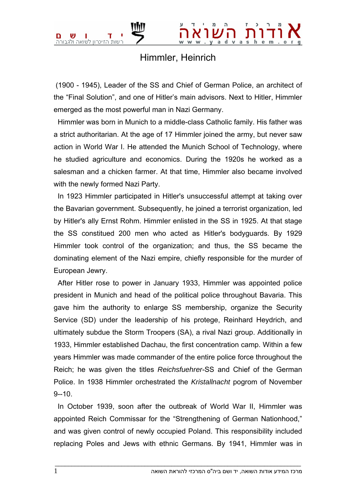## Himmler, Heinrich

 (1900 - 1945), Leader of the SS and Chief of German Police, an architect of the "Final Solution", and one of Hitler's main advisors. Next to Hitler, Himmler emerged as the most powerful man in Nazi Germany.

 Himmler was born in Munich to a middle-class Catholic family. His father was a strict authoritarian. At the age of 17 Himmler joined the army, but never saw action in World War I. He attended the Munich School of Technology, where he studied agriculture and economics. During the 1920s he worked as a salesman and a chicken farmer. At that time, Himmler also became involved with the newly formed Nazi Party.

 In 1923 Himmler participated in Hitler's unsuccessful attempt at taking over the Bavarian government. Subsequently, he joined a terrorist organization, led by Hitler's ally Ernst Rohm. Himmler enlisted in the SS in 1925. At that stage the SS constitued 200 men who acted as Hitler's bodyguards. By 1929 Himmler took control of the organization; and thus, the SS became the dominating element of the Nazi empire, chiefly responsible for the murder of European Jewry.

 After Hitler rose to power in January 1933, Himmler was appointed police president in Munich and head of the political police throughout Bavaria. This gave him the authority to enlarge SS membership, organize the Security Service (SD) under the leadership of his protege, Reinhard Heydrich, and ultimately subdue the Storm Troopers (SA), a rival Nazi group. Additionally in 1933, Himmler established Dachau, the first concentration camp. Within a few years Himmler was made commander of the entire police force throughout the Reich; he was given the titles *Reichsfuehrer*-SS and Chief of the German Police. In 1938 Himmler orchestrated the *Kristallnacht* pogrom of November 9--10.

 In October 1939, soon after the outbreak of World War II, Himmler was appointed Reich Commissar for the "Strengthening of German Nationhood," and was given control of newly occupied Poland. This responsibility included replacing Poles and Jews with ethnic Germans. By 1941, Himmler was in

 $\bot$  , and the set of the set of the set of the set of the set of the set of the set of the set of the set of the set of the set of the set of the set of the set of the set of the set of the set of the set of the set of t